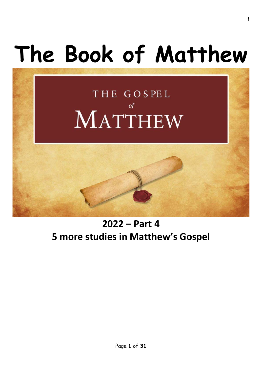# **The Book of Matthew**

## THE GOSPEL  $of$ MATTHEW

### **2022 – Part 4 5 more studies in Matthew's Gospel**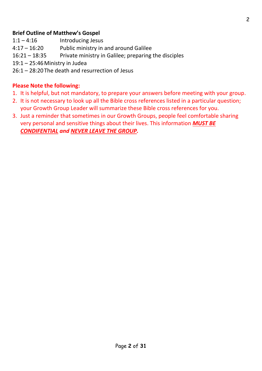#### **Brief Outline of Matthew's Gospel**

- 1:1 4:16 Introducing Jesus
- 4:17 16:20 Public ministry in and around Galilee
- 16:21 18:35 Private ministry in Galilee; preparing the disciples
- 19:1 25:46Ministry in Judea
- 26:1 28:20The death and resurrection of Jesus

#### **Please Note the following:**

- 1. It is helpful, but not mandatory, to prepare your answers before meeting with your group.
- 2. It is not necessary to look up all the Bible cross references listed in a particular question; your Growth Group Leader will summarize these Bible cross references for you.
- 3. Just a reminder that sometimes in our Growth Groups, people feel comfortable sharing very personal and sensitive things about their lives. This information *MUST BE CONDIFENTIAL and NEVER LEAVE THE GROUP.*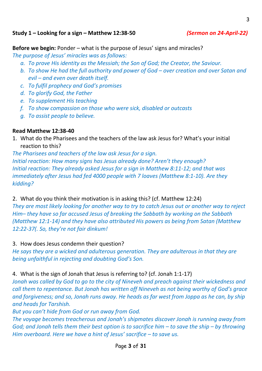#### **Study 1 – Looking for a sign – Matthew 12:38-50** *(Sermon on 24-April-22)*

**Before we begin:** Ponder – what is the purpose of Jesus' signs and miracles?

*The purpose of Jesus' miracles was as follows:*

- *a. To prove His identity as the Messiah; the Son of God; the Creator, the Saviour.*
- **b.** To show He had the full authority and power of God over creation and over Satan and *evil – and even over death itself.*
- *c. To fulfil prophecy and God's promises*
- *d. To glorify God, the Father*
- *e. To supplement His teaching*
- *f. To show compassion on those who were sick, disabled or outcasts*
- *g. To assist people to believe.*

#### **Read Matthew 12:38-40**

1. What do the Pharisees and the teachers of the law ask Jesus for? What's your initial reaction to this?

*The Pharisees and teachers of the law ask Jesus for a sign. Initial reaction: How many signs has Jesus already done? Aren't they enough? Initial reaction: They already asked Jesus for a sign in Matthew 8:11-12; and that was immediately after Jesus had fed 4000 people with 7 loaves (Matthew 8:1-10). Are they kidding?*

2. What do you think their motivation is in asking this? (cf. Matthew 12:24)

*They are most likely looking for another way to try to catch Jesus out or another way to reject Him– they have so far accused Jesus of breaking the Sabbath by working on the Sabbath (Matthew 12:1-14) and they have also attributed His powers as being from Satan (Matthew 12:22-37(. So, they're not fair dinkum!*

3. How does Jesus condemn their question?

*He says they are a wicked and adulterous generation. They are adulterous in that they are being unfaithful in rejecting and doubting God's Son.*

#### 4. What is the sign of Jonah that Jesus is referring to? (cf. Jonah 1:1-17)

*Jonah was called by God to go to the city of Nineveh and preach against their wickedness and call them to repentance. But Jonah has written off Nineveh as not being worthy of God's grace and forgiveness; and so, Jonah runs away. He heads as far west from Joppa as he can, by ship and heads for Tarshish.*

*But you can't hide from God or run away from God.* 

*The voyage becomes treacherous and Jonah's shipmates discover Jonah is running away from God; and Jonah tells them their best option is to sacrifice him – to save the ship – by throwing Him overboard. Here we have a hint of Jesus' sacrifice – to save us.*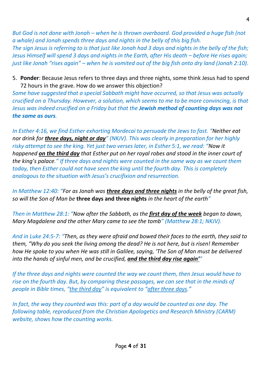*But God is not done with Jonah – when he is thrown overboard. God provided a huge fish (not a whale) and Jonah spends three days and nights in the belly of this big fish. The sign Jesus is referring to is that just like Jonah had 3 days and nights in the belly of the fish; Jesus Himself will spend 3 days and nights in the Earth, after His death – before He rises again; just like Jonah "rises again" – when he is vomited out of the big fish onto dry land (Jonah 2:10).*

5. **Ponder**: Because Jesus refers to three days and three nights, some think Jesus had to spend 72 hours in the grave. How do we answer this objection?

*Some have suggested that a special Sabbath might have occurred, so that Jesus was actually crucified on a Thursday. However, a solution, which seems to me to be more convincing, is that Jesus was indeed crucified on a Friday but that the Jewish method of counting days was not the same as ours.*

*In Esther 4:16, we find Esther exhorting Mordecai to persuade the Jews to fast. "Neither eat nor drink for three days, night or day" (NKJV). This was clearly in preparation for her highly risky attempt to see the king. Yet just two verses later, in Esther 5:1, we read: "Now it happened on the third day that Esther put on her royal robes and stood in the inner court of the king's palace." If three days and nights were counted in the same way as we count them today, then Esther could not have seen the king until the fourth day. This is completely analogous to the situation with Jesus's crucifixion and resurrection.*

*In Matthew 12:40: "For as Jonah was three days and three nights in the belly of the great fish, so will the Son of Man be* **three days and three nights** *in the heart of the earth"* 

*Then in Matthew 28:1: "Now after the Sabbath, as the first day of the week began to dawn, Mary Magdalene and the other Mary came to see the tomb" (Matthew 28:1; NKJV).*

*And in Luke 24:5-7: "Then, as they were afraid and bowed their faces to the earth, they said to them, "Why do you seek the living among the dead? He is not here, but is risen! Remember how He spoke to you when He was still in Galilee, saying, 'The Son of Man must be delivered into the hands of sinful men, and be crucified, and the third day rise again'"* 

*If the three days and nights were counted the way we count them, then Jesus would have to rise on the fourth day. But, by comparing these passages, we can see that in the minds of people in Bible times, "the third day" is equivalent to "after three days."*

*In fact, the way they counted was this: part of a day would be counted as one day. The following table, reproduced from the Christian Apologetics and Research Ministry (CARM) website, shows how the counting works.*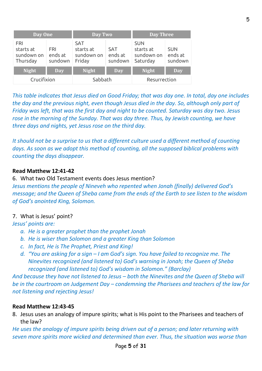| Day One                                           |                                  | Day Two                                         |                                  | <b>Day Three</b>                                  |                                  |
|---------------------------------------------------|----------------------------------|-------------------------------------------------|----------------------------------|---------------------------------------------------|----------------------------------|
| <b>FRI</b><br>starts at<br>sundown on<br>Thursday | <b>FRI</b><br>ends at<br>sundown | <b>SAT</b><br>starts at<br>sundown on<br>Friday | <b>SAT</b><br>ends at<br>sundown | <b>SUN</b><br>starts at<br>sundown on<br>Saturday | <b>SUN</b><br>ends at<br>sundown |
| <b>Night</b>                                      | <b>Day</b>                       | <b>Night</b>                                    | <b>Day</b>                       | <b>Night</b>                                      | <b>Day</b>                       |
| Crucifixion                                       |                                  | Sabbath                                         |                                  | Resurrection                                      |                                  |

*This table indicates that Jesus died on Good Friday; that was day one. In total, day one includes the day and the previous night, even though Jesus died in the day. So, although only part of Friday was left, that was the first day and night to be counted. Saturday was day two. Jesus rose in the morning of the Sunday. That was day three. Thus, by Jewish counting, we have three days and nights, yet Jesus rose on the third day.*

*It should not be a surprise to us that a different culture used a different method of counting days. As soon as we adopt this method of counting, all the supposed biblical problems with counting the days disappear.*

#### **Read Matthew 12:41-42**

6. What two Old Testament events does Jesus mention?

*Jesus mentions the people of Nineveh who repented when Jonah (finally) delivered God's message; and the Queen of Sheba came from the ends of the Earth to see listen to the wisdom of God's anointed King, Solomon.* 

#### 7. What is Jesus' point?

*Jesus' points are:*

- *a. He is a greater prophet than the prophet Jonah*
- *b. He is wiser than Solomon and a greater King than Solomon*
- *c. In fact, He is The Prophet, Priest and King!*
- *d. "You are asking for a sign – I am God's sign. You have failed to recognize me. The Ninevites recognized (and listened to) God's warning in Jonah; the Queen of Sheba recognized (and listened to) God's wisdom in Solomon." (Barclay)*

*And because they have not listened to Jesus – both the Ninevites and the Queen of Sheba will be in the courtroom on Judgement Day – condemning the Pharisees and teachers of the law for not listening and rejecting Jesus!*

#### **Read Matthew 12:43-45**

8. Jesus uses an analogy of impure spirits; what is His point to the Pharisees and teachers of the law?

*He uses the analogy of impure spirits being driven out of a person; and later returning with seven more spirits more wicked and determined than ever. Thus, the situation was worse than*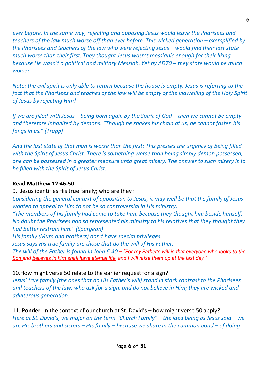*ever before. In the same way, rejecting and opposing Jesus would leave the Pharisees and teachers of the law much worse off than ever before. This wicked generation – exemplified by the Pharisees and teachers of the law who were rejecting Jesus – would find their last state much worse than their first. They thought Jesus wasn't messianic enough for their liking because He wasn't a political and military Messiah. Yet by AD70 – they state would be much worse!*

*Note: the evil spirit is only able to return because the house is empty. Jesus is referring to the fact that the Pharisees and teaches of the law will be empty of the indwelling of the Holy Spirit of Jesus by rejecting Him!*

*If we are filled with Jesus – being born again by the Spirit of God – then we cannot be empty and therefore inhabited by demons. "Though he shakes his chain at us, he cannot fasten his fangs in us." (Trapp)*

*And the last state of that man is worse than the first: This presses the urgency of being filled with the Spirit of Jesus Christ. There is something worse than being simply demon possessed; one can be possessed in a greater measure unto great misery. The answer to such misery is to be filled with the Spirit of Jesus Christ.* 

#### **Read Matthew 12:46-50**

9. Jesus identifies His true family; who are they?

*Considering the general context of opposition to Jesus, it may well be that the family of Jesus wanted to appeal to Him to not be so controversial in His ministry.*

*"The members of his family had come to take him, because they thought him beside himself. No doubt the Pharisees had so represented his ministry to his relatives that they thought they had better restrain him." (Spurgeon)*

*His family (Mum and brothers) don't have special privileges.*

*Jesus says His true family are those that do the will of His Father.*

*The will of the Father is found in John 6:40 – "For my Father's will is that everyone who looks to the Son and believes in him shall have eternal life, and I will raise them up at the last day."*

#### 10.How might verse 50 relate to the earlier request for a sign?

*Jesus' true family (the ones that do His Father's will) stand in stark contrast to the Pharisees and teachers of the law, who ask for a sign, and do not believe in Him; they are wicked and adulterous generation.*

11. **Ponder**: In the context of our church at St. David's – how might verse 50 apply? *Here at St. David's, we major on the term "Church Family" – the idea being as Jesus said – we are His brothers and sisters – His family – because we share in the common bond – of doing*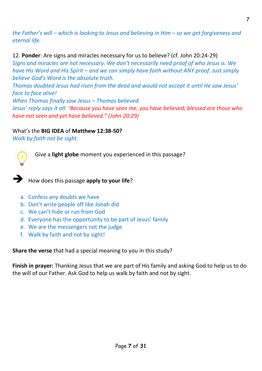*the Father's will – which is looking to Jesus and believing in Him – so we get forgiveness and eternal life.*

12. **Ponder**: Are signs and miracles necessary for us to believe? (cf. John 20:24-29) *Signs and miracles are not necessary. We don't necessarily need proof of who Jesus is. We have His Word and His Spirit – and we can simply have faith without ANY proof. Just simply believe God's Word is the absolute truth. Thomas doubted Jesus had risen from the dead and would not accept it until He saw Jesus'* 

*face to face alive! When Thomas finally saw Jesus – Thomas believed.*

*Jesus' reply says it all: "Because you have seen me, you have believed; blessed are those who have not seen and yet have believed." (John 20:29)*

#### What's the **BIG IDEA** of **Matthew 12:38-50?**

*Walk by faith not be sight.*



Give a **light globe** moment you experienced in this passage?



➔ How does this passage **apply to your life**?

- a. Confess any doubts we have
- b. Don't write people off like Jonah did
- c. We can't hide or run from God
- d. Everyone has the opportunity to be part of Jesus' family
- e. We are the messengers not the judge
- f. Walk by faith and not by sight!

**Share the verse** that had a special meaning to you in this study?

**Finish in prayer:** Thanking Jesus that we are part of His family and asking God to help us to do the will of our Father. Ask God to help us walk by faith and not by sight.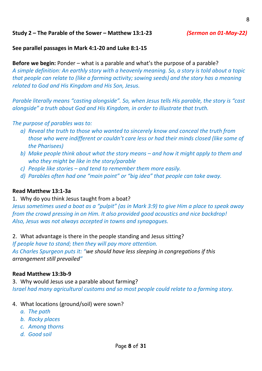#### **Study 2 – The Parable of the Sower – Matthew 13:1-23** *(Sermon on 01-May-22)*

#### **See parallel passages in Mark 4:1-20 and Luke 8:1-15**

**Before we begin:** Ponder – what is a parable and what's the purpose of a parable? *A simple definition: An earthly story with a heavenly meaning. So, a story is told about a topic* 

*that people can relate to (like a farming activity; sowing seeds) and the story has a meaning related to God and His Kingdom and His Son, Jesus.*

*Parable literally means "casting alongside". So, when Jesus tells His parable, the story is "cast alongside" a truth about God and His Kingdom, in order to illustrate that truth.*

*The purpose of parables was to:*

- *a) Reveal the truth to those who wanted to sincerely know and conceal the truth from those who were indifferent or couldn't care less or had their minds closed (like some of the Pharisees)*
- *b) Make people think about what the story means – and how it might apply to them and who they might be like in the story/parable*
- *c) People like stories – and tend to remember them more easily.*
- *d) Parables often had one "main point" or "big idea" that people can take away.*

#### **Read Matthew 13:1-3a**

1. Why do you think Jesus taught from a boat?

*Jesus sometimes used a boat as a "pulpit" (as in Mark 3:9) to give Him a place to speak away from the crowd pressing in on Him. It also provided good acoustics and nice backdrop! Also, Jesus was not always accepted in towns and synagogues.*

2. What advantage is there in the people standing and Jesus sitting?

*If people have to stand; then they will pay more attention.*

*As Charles Spurgeon puts it: "we should have less sleeping in congregations if this arrangement still prevailed"*

#### **Read Matthew 13:3b-9**

3. Why would Jesus use a parable about farming? *Israel had many agricultural customs and so most people could relate to a farming story.*

- 4. What locations (ground/soil) were sown?
	- *a. The path*
	- *b. Rocky places*
	- *c. Among thorns*
	- *d. Good soil*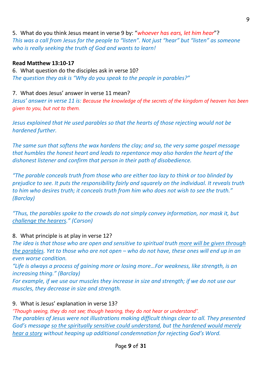#### 5. What do you think Jesus meant in verse 9 by: "*whoever has ears, let him hear*"?

*This was a call from Jesus for the people to "listen". Not just "hear" but "listen" as someone who is really seeking the truth of God and wants to learn!*

#### **Read Matthew 13:10-17**

6. What question do the disciples ask in verse 10? *The question they ask is "Why do you speak to the people in parables?"*

#### 7. What does Jesus' answer in verse 11 mean?

*Jesus' answer in verse 11 is: Because the knowledge of the secrets of the kingdom of heaven has been given to you, but not to them.*

*Jesus explained that He used parables so that the hearts of those rejecting would not be hardened further.*

*The same sun that softens the wax hardens the clay; and so, the very same gospel message that humbles the honest heart and leads to repentance may also harden the heart of the dishonest listener and confirm that person in their path of disobedience.*

*"The parable conceals truth from those who are either too lazy to think or too blinded by prejudice to see. It puts the responsibility fairly and squarely on the individual. It reveals truth to him who desires truth; it conceals truth from him who does not wish to see the truth." (Barclay)*

*"Thus, the parables spoke to the crowds do not simply convey information, nor mask it, but challenge the hearers." (Carson)*

#### 8. What principle is at play in verse 12?

*The idea is that those who are open and sensitive to spiritual truth more will be given through the parables. Yet to those who are not open – who do not have, these ones will end up in an even worse condition.*

*"Life is always a process of gaining more or losing more…For weakness, like strength, is an increasing thing." (Barclay)*

For example, if we use our muscles they increase in size and strength; if we do not use our *muscles, they decrease in size and strength.*

#### 9. What is Jesus' explanation in verse 13?

*"Though seeing, they do not see; though hearing, they do not hear or understand". The parables of Jesus were not illustrations making difficult things clear to all. They presented God's message so the spiritually sensitive could understand, but the hardened would merely hear a story without heaping up additional condemnation for rejecting God's Word.*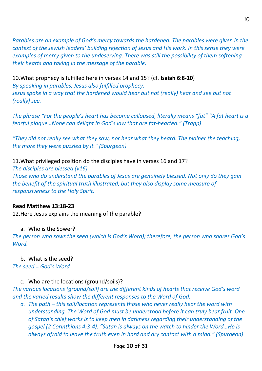*Parables are an example of God's mercy towards the hardened. The parables were given in the context of the Jewish leaders' building rejection of Jesus and His work. In this sense they were examples of mercy given to the undeserving. There was still the possibility of them softening their hearts and taking in the message of the parable.*

10.What prophecy is fulfilled here in verses 14 and 15? (cf. **Isaiah 6:8-10**) *By speaking in parables, Jesus also fulfilled prophecy.* Jesus spoke in a way that the hardened would hear but not (really) hear and see but not *(really) see.*

*The phrase "For the people's heart has become calloused, literally means "fat" "A fat heart is a fearful plague…None can delight in God's law that are fat-hearted." (Trapp)*

*"They did not really see what they saw, nor hear what they heard. The plainer the teaching, the more they were puzzled by it." (Spurgeon)*

#### 11.What privileged position do the disciples have in verses 16 and 17?

*The disciples are blessed (v16)*

*Those who do understand the parables of Jesus are genuinely blessed. Not only do they gain the benefit of the spiritual truth illustrated, but they also display some measure of responsiveness to the Holy Spirit.*

#### **Read Matthew 13:18-23**

12.Here Jesus explains the meaning of the parable?

#### a. Who is the Sower?

*The person who sows the seed (which is God's Word); therefore, the person who shares God's Word.*

#### b. What is the seed?

*The seed = God's Word*

#### c. Who are the locations (ground/soils)?

*The various locations (ground/soil) are the different kinds of hearts that receive God's word and the varied results show the different responses to the Word of God.* 

*a.* The path – this soil/location represents those who never really hear the word with *understanding. The Word of God must be understood before it can truly bear fruit. One of Satan's chief works is to keep men in darkness regarding their understanding of the gospel (2 Corinthians 4:3-4). "Satan is always on the watch to hinder the Word…He is always afraid to leave the truth even in hard and dry contact with a mind." (Spurgeon)*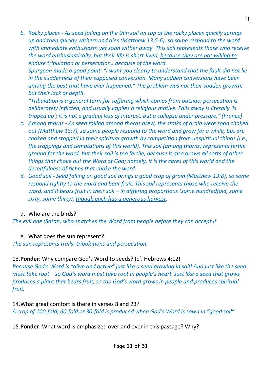*b. Rocky places - As seed falling on the thin soil on top of the rocky places quickly springs up and then quickly withers and dies (Matthew 13:5-6), so some respond to the word with immediate enthusiasm yet soon wither away. This soil represents those who receive the word enthusiastically, but their life is short-lived, because they are not willing to endure tribulation or persecution…because of the word.*

*Spurgeon made a good point: "I want you clearly to understand that the fault did not lie in the suddenness of their supposed conversion. Many sudden conversions have been among the best that have ever happened." The problem was not their sudden growth, but their lack of depth.*

*"Tribulation is a general term for suffering which comes from outside; persecution is deliberately inflicted, and usually implies a religious motive. Falls away is literally 'is tripped up'; it is not a gradual loss of interest, but a collapse under pressure." (France)*

- *c. Among thorns - As seed falling among thorns grew, the stalks of grain were soon choked out (Matthew 13:7), so some people respond to the word and grow for a while, but are choked and stopped in their spiritual growth by competition from unspiritual things (i.e., the trappings and temptations of this world). This soil (among thorns) represents fertile ground for the word; but their soil is too fertile, because it also grows all sorts of other things that choke out the Word of God; namely, it is the cares of this world and the deceitfulness of riches that choke the word.*
- *d. Good soil - Seed falling on good soil brings a good crop of grain (Matthew 13:8), so some respond rightly to the word and bear fruit. This soil represents those who receive the word, and it bears fruit in their soil – in differing proportions (some hundredfold, some sixty, some thirty), though each has a generous harvest.*

#### d. Who are the birds?

*The evil one (Satan) who snatches the Word from people before they can accept it.*

#### e. What does the sun represent?

*The sun represents trails, tribulations and persecution.*

#### 13.**Ponder**: Why compare God's Word to seeds? (cf. Hebrews 4:12)

*Because God's Word is "alive and active" just like a seed growing in soil! And just like the seed must take root – so God's word must take root in people's heart. Just like a seed that grows produces a plant that bears fruit, so too God's word grows in people and produces spiritual fruit.* 

#### 14.What great comfort is there in verses 8 and 23?

*A crop of 100-fold; 60-fold or 30-fold is produced when God's Word is sown in "good soil"*

15.**Ponder**: What word is emphasized over and over in this passage? Why?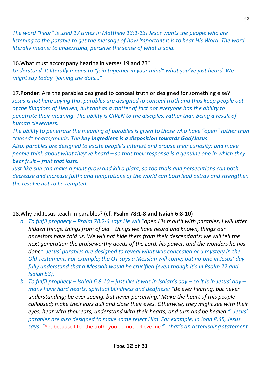12

*The word "hear" is used 17 times in Matthew 13:1-23! Jesus wants the people who are listening to the parable to get the message of how important it is to hear His Word. The word literally means: to understand, perceive the sense of what is said.*

#### 16.What must accompany hearing in verses 19 and 23?

*Understand. It literally means to "join together in your mind" what you've just heard. We might say today "joining the dots…"*

17.**Ponder**: Are the parables designed to conceal truth or designed for something else? *Jesus is not here saying that parables are designed to conceal truth and thus keep people out of the Kingdom of Heaven, but that as a matter of fact not everyone has the ability to penetrate their meaning. The ability is GIVEN to the disciples, rather than being a result of human cleverness.* 

*The ability to penetrate the meaning of parables is given to those who have "open" rather than "closed" hearts/minds. The key ingredient is a disposition towards God/Jesus.*

*Also, parables are designed to excite people's interest and arouse their curiosity; and make people think about what they've heard – so that their response is a genuine one in which they bear fruit – fruit that lasts.* 

*Just like sun can make a plant grow and kill a plant; so too trials and persecutions can both decrease and increase faith; and temptations of the world can both lead astray and strengthen the resolve not to be tempted.*

#### 18.Why did Jesus teach in parables? (cf. **Psalm 78:1-8 and Isaiah 6:8-10**)

- *a. To fulfil prophecy – Psalm 78:2-4 says He will "open His mouth with parables; I will utter hidden things, things from of old—things we have heard and known, things our ancestors have told us. We will not hide them from their descendants; we will tell the next generation the praiseworthy deeds of the Lord, his power, and the wonders he has done". Jesus' parables are designed to reveal what was concealed or a mystery in the Old Testament. For example; the OT says a Messiah will come; but no-one in Jesus' day fully understand that a Messiah would be crucified (even though it's in Psalm 22 and Isaiah 53).*
- *b. To fulfil prophecy – Isaiah 6:8-10 – just like it was in Isaiah's day – so it is in Jesus' day – many have hard hearts, spiritual blindness and deafness: "Be ever hearing, but never understanding; be ever seeing, but never perceiving.' Make the heart of this people calloused; make their ears dull and close their eyes. Otherwise, they might see with their eyes, hear with their ears, understand with their hearts, and turn and be healed.". Jesus' parables are also designed to make some reject Him. For example, in John 8:45, Jesus says: "*Yet because I tell the truth, you do not believe me!*". That's an astonishing statement*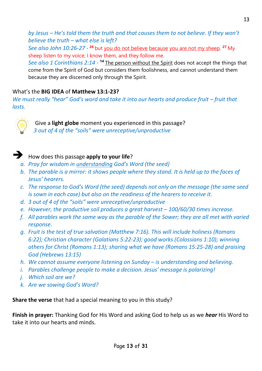*by Jesus – He's told them the truth and that causes them to not believe. If they won't believe the truth – what else is left?*

*See also John 10:26-27 - <sup>26</sup> but <u>you do not believe because you are not my sheep</u>. <sup>27</sup> My* sheep listen to my voice; I know them, and they follow me.

See also 1 Corinthians 2:14 - <sup>14</sup> The person without the Spirit does not accept the things that come from the Spirit of God but considers them foolishness, and cannot understand them because they are discerned only through the Spirit.

#### What's the **BIG IDEA** of **Matthew 13:1-23?**

*We must really "hear" God's word and take it into our hearts and produce fruit – fruit that lasts.*



Give a **light globe** moment you experienced in this passage? *3 out of 4 of the "soils" were unreceptive/unproductive*

#### ➔ How does this passage **apply to your life**?

- *a. Pray for wisdom in understanding God's Word (the seed)*
- *b. The parable is a mirror: it shows people where they stand. It is held up to the faces of Jesus' hearers.*
- *c. The response to God's Word (the seed) depends not only on the message (the same seed is sown in each case) but also on the readiness of the hearers to receive it.*
- *d. 3 out of 4 of the "soils" were unreceptive/unproductive*
- *e. However, the productive soil produces a great harvest – 100/60/30 times increase.*
- *f. All parables work the same way as the parable of the Sower; they are all met with varied response.*
- *g. Fruit is the test of true salvation (Matthew 7:16). This will include holiness (Romans 6:22); Christian character (Galatians 5:22-23); good works (Colossians 1:10); winning others for Christ (Romans 1:13); sharing what we have (Romans 15:25-28) and praising God (Hebrews 13:15)*
- *h.* We cannot assume everyone listening on Sunday is understanding and believing.
- *i. Parables challenge people to make a decision. Jesus' message is polarizing!*
- *j. Which soil are we?*
- *k. Are we sowing God's Word?*

**Share the verse** that had a special meaning to you in this study?

**Finish in prayer:** Thanking God for His Word and asking God to help us as we *hear* His Word to take it into our hearts and minds.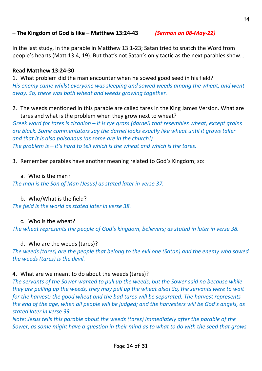#### **– The Kingdom of God is like – Matthew 13:24-43** *(Sermon on 08-May-22)*

In the last study, in the parable in Matthew 13:1-23; Satan tried to snatch the Word from people's hearts (Matt 13:4, 19). But that's not Satan's only tactic as the next parables show…

#### **Read Matthew 13:24-30**

1. What problem did the man encounter when he sowed good seed in his field? *His enemy came whilst everyone was sleeping and sowed weeds among the wheat, and went away. So, there was both wheat and weeds growing together.*

2. The weeds mentioned in this parable are called tares in the King James Version. What are tares and what is the problem when they grow next to wheat?

*Greek word for tares is zizanion – it is rye grass (darnel) that resembles wheat, except grains are black. Some commentators say the darnel looks exactly like wheat until it grows taller – and that it is also poisonous (as some are in the church!) The problem is – it's hard to tell which is the wheat and which is the tares.*

3. Remember parables have another meaning related to God's Kingdom; so:

#### a. Who is the man?

*The man is the Son of Man (Jesus) as stated later in verse 37.*

b. Who/What is the field?

*The field is the world as stated later in verse 38.*

c. Who is the wheat?

*The wheat represents the people of God's kingdom, believers; as stated in later in verse 38.*

d. Who are the weeds (tares)?

*The weeds (tares) are the people that belong to the evil one (Satan) and the enemy who sowed the weeds (tares) is the devil.*

#### 4. What are we meant to do about the weeds (tares)?

*The servants of the Sower wanted to pull up the weeds; but the Sower said no because while they are pulling up the weeds, they may pull up the wheat also! So, the servants were to wait for the harvest; the good wheat and the bad tares will be separated. The harvest represents the end of the age, when all people will be judged; and the harvesters will be God's angels, as stated later in verse 39.*

*Note: Jesus tells this parable about the weeds (tares) immediately after the parable of the Sower, as some might have a question in their mind as to what to do with the seed that grows*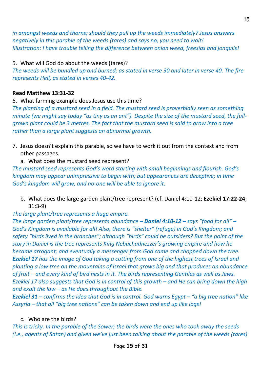*in amongst weeds and thorns; should they pull up the weeds immediately? Jesus answers negatively in this parable of the weeds (tares) and says no, you need to wait! Illustration: I have trouble telling the difference between onion weed, freesias and jonquils!*

#### 5. What will God do about the weeds (tares)?

*The weeds will be bundled up and burned; as stated in verse 30 and later in verse 40. The fire represents Hell, as stated in verses 40-42.*

#### **Read Matthew 13:31-32**

#### 6. What farming example does Jesus use this time?

*The planting of a mustard seed in a field. The mustard seed is proverbially seen as something minute (we might say today "as tiny as an ant"). Despite the size of the mustard seed, the fullgrown plant could be 3 metres. The fact that the mustard seed is said to grow into a tree rather than a large plant suggests an abnormal growth.*

7. Jesus doesn't explain this parable, so we have to work it out from the context and from other passages.

#### a. What does the mustard seed represent?

*The mustard seed represents God's word starting with small beginnings and flourish. God's kingdom may appear unimpressive to begin with; but appearances are deceptive; in time God's kingdom will grow, and no-one will be able to ignore it.*

b. What does the large garden plant/tree represent? (cf. Daniel 4:10-12; **Ezekiel 17:22-24**; 31:3-9)

#### *The large plant/tree represents a huge empire.*

*The large garden plant/tree represents abundance – Daniel 4:10-12 – says "food for all" – God's Kingdom is available for all! Also, there is "shelter" (refuge) in God's Kingdom; and safety "birds lived in the branches"; although "birds" could be outsiders? But the point of the story in Daniel is the tree represents King Nebuchadnezzer's growing empire and how he became arrogant; and eventually a messenger from God came and chopped down the tree. Ezekiel 17 has the image of God taking a cutting from one of the highest trees of Israel and planting a low tree on the mountains of Israel that grows big and that produces an abundance of fruit – and every kind of bird nests in it. The birds representing Gentiles as well as Jews. Ezekiel 17 also suggests that God is in control of this growth – and He can bring down the high and exalt the low – as He does throughout the Bible.*

*Ezekiel 31 – confirms the idea that God is in control. God warns Egypt – "a big tree nation" like Assyria – that all "big tree nations" can be taken down and end up like logs!*

#### c. Who are the birds?

*This is tricky. In the parable of the Sower; the birds were the ones who took away the seeds (i.e., agents of Satan) and given we've just been talking about the parable of the weeds (tares)*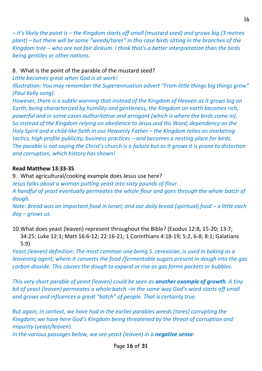*– it's likely the point is – the Kingdom starts off small (mustard seed) and grows big (3 metres plant) – but there will be some "weeds/tares" in this case birds sitting in the branches of the Kingdom tree – who are not fair dinkum. I think that's a better interpretation than the birds being gentiles or other nations.*

#### 8. What is the point of the parable of the mustard seed?

*Little becomes great when God is at work!*

*Illustration: You may remember the Superannuation advert "From little things big things grow" (Paul Kelly song).*

*However, there is a subtle warning that instead of the Kingdom of Heaven as it grows big on Earth, being characterized by humility and gentleness, the Kingdom on earth becomes rich, powerful and in some cases authoritative and arrogant (which is where the birds come in). So instead of the Kingdom relying on obedience to Jesus and His Word, dependency on the Holy Spirit and a child-like faith in our Heavenly Father – the Kingdom relies on marketing tactics, high profile publicity, business practices – and becomes a nesting place for birds. The parable is not saying the Christ's church is a failure but as it grows it is prone to distortion and corruption, which history has shown!*

#### **Read Matthew 13:33-35**

9. What agricultural/cooking example does Jesus use here?

*Jesus talks about a woman putting yeast into sixty pounds of flour. A handful of yeast eventually permeates the whole flour and goes through the whole batch of dough.*

*Note: Bread was an important food in Israel; and our daily bread (spiritual) food – a little each day – grows us.*

10.What does yeast (leaven) represent throughout the Bible? (Exodus 12:8, 15-20; 13:7; 34:25; Luke 12:1; Matt 16:6-12; 22:16-21; 1 Corinthians 4:18-19; 5:2, 6-8; 8:1; Galatians 5:9)

*Yeast (leaven) definition: The most common one being S. cerevisiae, is used in baking as a leavening agent, where it converts the food /fermentable sugars present in dough into the gas carbon dioxide. This causes the dough to expand or rise as gas forms pockets or bubbles.*

*This very short parable of yeast (leaven) could be seen as another example of growth. A tiny bit of yeast (leaven) permeates a whole batch –in the same way God's word starts off small and grows and influences a great "batch" of people. That is certainly true.*

*But again, in context, we have had in the earlier parables weeds (tares) corrupting the Kingdom; we have here God's Kingdom being threatened by the threat of corruption and impurity (yeast/leaven).*

*In the various passages below, we see yeast (leaven) in a negative sense:*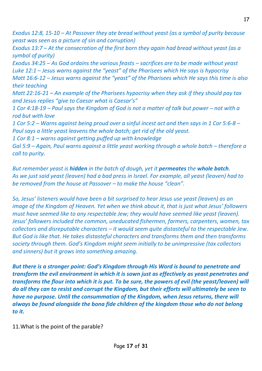*Exodus 12:8, 15-10 – At Passover they ate bread without yeast (as a symbol of purity because yeast was seen as a picture of sin and corruption)*

*Exodus 13:7 – At the consecration of the first born they again had bread without yeast (as a symbol of purity)*

*Exodus 34:25 – As God ordains the various feasts – sacrifices are to be made without yeast Luke 12:1 – Jesus warns against the "yeast" of the Pharisees which He says is hypocrisy Matt 16:6-12 – Jesus warns against the "yeast" of the Pharisees which He says this time is also their teaching*

*Matt 22:16-21 – An example of the Pharisees hypocrisy when they ask if they should pay tax and Jesus replies "give to Caesar what is Caesar's"*

*1 Cor 4:18-19 – Paul says the Kingdom of God is not a matter of talk but power – not with a rod but with love*

*1 Cor 5:2 – Warns against being proud over a sinful incest act and then says in 1 Cor 5:6-8 – Paul says a little yeast leavens the whole batch; get rid of the old yeast.*

*1 Cor 8:1 – warns against getting puffed up with knowledge* 

*Gal 5:9 – Again, Paul warns against a little yeast working through a whole batch – therefore a call to purity.*

*But remember yeast is hidden in the batch of dough, yet it permeates the whole batch. As we just said yeast (leaven) had a bad press in Israel. For example, all yeast (leaven) had to be removed from the house at Passover – to make the house "clean".*

*So, Jesus' listeners would have been a bit surprised to hear Jesus use yeast (leaven) as an image of the Kingdom of Heaven. Yet when we think about it, that is just what Jesus' followers must have seemed like to any respectable Jew; they would have seemed like yeast (leaven). Jesus' followers included the common, uneducated fishermen, farmers, carpenters, women, tax collectors and disreputable characters – it would seem quite distasteful to the respectable Jew. But God is like that. He takes distasteful characters and transforms them and then transforms society through them. God's Kingdom might seem initially to be unimpressive (tax collectors and sinners) but it grows into something amazing.*

*But there is a stronger point: God's Kingdom through His Word is bound to penetrate and transform the evil environment in which it is sown just as effectively as yeast penetrates and transforms the flour into which it is put. To be sure, the powers of evil (the yeast/leaven) will do all they can to resist and corrupt the Kingdom, but their efforts will ultimately be seen to have no purpose. Until the consummation of the Kingdom, when Jesus returns, there will always be found alongside the bona fide children of the kingdom those who do not belong to it.* 

11.What is the point of the parable?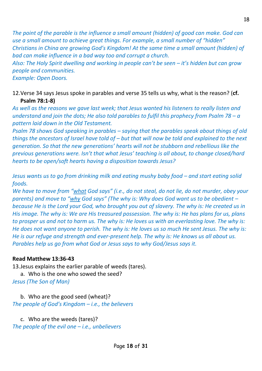*The point of the parable is the influence a small amount (hidden) of good can make. God can use a small amount to achieve great things. For example, a small number of "hidden" Christians in China are growing God's Kingdom! At the same time a small amount (hidden) of bad can make influence in a bad way too and corrupt a church. Also: The Holy Spirit dwelling and working in people can't be seen – it's hidden but can grow* 

*people and communities.*

*Example: Open Doors.*

12.Verse 34 says Jesus spoke in parables and verse 35 tells us why, what is the reason? (**cf. Psalm 78:1-8)**

*As well as the reasons we gave last week; that Jesus wanted his listeners to really listen and understand and join the dots; He also told parables to fulfil this prophecy from Psalm 78 – a pattern laid down in the Old Testament.*

*Psalm 78 shows God speaking in parables – saying that the parables speak about things of old things the ancestors of Israel have told of – but that will now be told and explained to the next generation. So that the new generations' hearts will not be stubborn and rebellious like the previous generations were. Isn't that what Jesus' teaching is all about, to change closed/hard hearts to be open/soft hearts having a disposition towards Jesus?*

*Jesus wants us to go from drinking milk and eating mushy baby food – and start eating solid foods.* 

*We have to move from "what God says" (i.e., do not steal, do not lie, do not murder, obey your parents) and move to "why God says" (The why is: Why does God want us to be obedient – because He is the Lord your God, who brought you out of slavery. The why is: He created us in His image. The why is: We are His treasured possession. The why is: He has plans for us, plans to prosper us and not to harm us. The why is: He loves us with an everlasting love. The why is: He does not want anyone to perish. The why is: He loves us so much He sent Jesus. The why is: He is our refuge and strength and ever-present help. The why is: He knows us all about us. Parables help us go from what God or Jesus says to why God/Jesus says it.*

#### **Read Matthew 13:36-43**

13.Jesus explains the earlier parable of weeds (tares).

a. Who is the one who sowed the seed?

*Jesus (The Son of Man)*

b. Who are the good seed (wheat)? *The people of God's Kingdom – i.e., the believers*

c. Who are the weeds (tares)?

*The people of the evil one – i.e., unbelievers*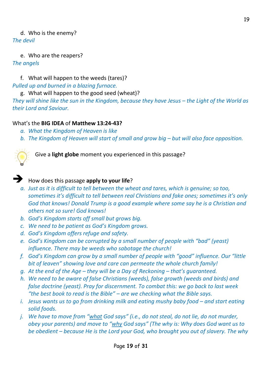#### d. Who is the enemy?

*The devil*

e. Who are the reapers? *The angels*

f. What will happen to the weeds (tares)? *Pulled up and burned in a blazing furnace.*

g. What will happen to the good seed (wheat)? *They will shine like the sun in the Kingdom, because they have Jesus – the Light of the World as their Lord and Saviour.*

#### What's the **BIG IDEA** of **Matthew 13:24-43?**

- *a. What the Kingdom of Heaven is like*
- b. The Kingdom of Heaven will start of small and grow big but will also face opposition.



Give a **light globe** moment you experienced in this passage?

#### ➔ How does this passage **apply to your life**?

- *a. Just as it is difficult to tell between the wheat and tares, which is genuine; so too, sometimes it's difficult to tell between real Christians and fake ones; sometimes it's only God that knows! Donald Trump is a good example where some say he is a Christian and others not so sure! God knows!*
- *b. God's Kingdom starts off small but grows big.*
- *c. We need to be patient as God's Kingdom grows.*
- *d. God's Kingdom offers refuge and safety.*
- *e. God's Kingdom can be corrupted by a small number of people with "bad" (yeast) influence. There may be weeds who sabotage the church!*
- *f. God's Kingdom can grow by a small number of people with "good" influence. Our "little bit of leaven" showing love and care can permeate the whole church family!*
- *g. At the end of the Age – they will be a Day of Reckoning – that's guaranteed.*
- *h. We need to be aware of false Christians (weeds), false growth (weeds and birds) and false doctrine (yeast). Pray for discernment. To combat this: we go back to last week "the best book to read is the Bible" – are we checking what the Bible says.*
- *i.* Jesus wants us to go from drinking milk and eating mushy baby food and start eating *solid foods.*
- *j. We have to move from "what God says" (i.e., do not steal, do not lie, do not murder, obey your parents) and move to "why God says" (The why is: Why does God want us to be obedient – because He is the Lord your God, who brought you out of slavery. The why*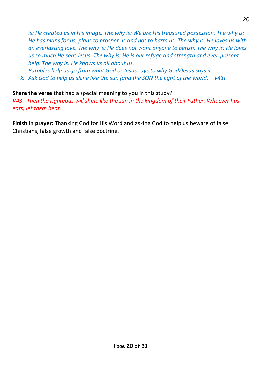*is: He created us in His image. The why is: We are His treasured possession. The why is: He has plans for us, plans to prosper us and not to harm us. The why is: He loves us with an everlasting love. The why is: He does not want anyone to perish. The why is: He loves us so much He sent Jesus. The why is: He is our refuge and strength and ever-present help. The why is: He knows us all about us.* 

*Parables help us go from what God or Jesus says to why God/Jesus says it.* 

*k.* Ask God to help us shine like the sun (and the SON the light of the world) –  $v43!$ 

**Share the verse** that had a special meaning to you in this study?

*V43 - Then the righteous will shine like the sun in the kingdom of their Father. Whoever has ears, let them hear.*

**Finish in prayer:** Thanking God for His Word and asking God to help us beware of false Christians, false growth and false doctrine.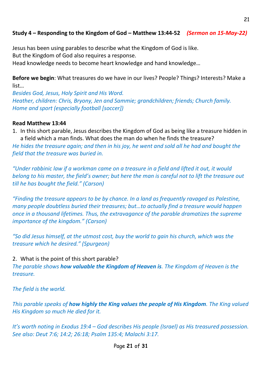#### **Study 4 – Responding to the Kingdom of God – Matthew 13:44-52** *(Sermon on 15-May-22)*

Jesus has been using parables to describe what the Kingdom of God is like. But the Kingdom of God also requires a response.

Head knowledge needs to become heart knowledge and hand knowledge…

**Before we begin**: What treasures do we have in our lives? People? Things? Interests? Make a list…

*Besides God, Jesus, Holy Spirit and His Word. Heather, children: Chris, Bryony, Jen and Sammie; grandchildren; friends; Church family. Home and sport (especially football [soccer])*

#### **Read Matthew 13:44**

1. In this short parable, Jesus describes the Kingdom of God as being like a treasure hidden in a field which a man finds. What does the man do when he finds the treasure?

*He hides the treasure again; and then in his joy, he went and sold all he had and bought the field that the treasure was buried in.*

*"Under rabbinic law if a workman came on a treasure in a field and lifted it out, it would belong to his master, the field's owner; but here the man is careful not to lift the treasure out till he has bought the field." (Carson)*

*"Finding the treasure appears to be by chance. In a land as frequently ravaged as Palestine, many people doubtless buried their treasures; but…to actually find a treasure would happen once in a thousand lifetimes. Thus, the extravagance of the parable dramatizes the supreme importance of the kingdom." (Carson)*

*"So did Jesus himself, at the utmost cost, buy the world to gain his church, which was the treasure which he desired." (Spurgeon)*

#### 2. What is the point of this short parable?

*The parable shows how valuable the Kingdom of Heaven is. The Kingdom of Heaven is the treasure.*

*The field is the world.*

*This parable speaks of how highly the King values the people of His Kingdom. The King valued His Kingdom so much He died for it.*

*It's worth noting in Exodus 19:4 – God describes His people (Israel) as His treasured possession. See also: Deut 7:6; 14:2; 26:18; Psalm 135:4; Malachi 3:17.*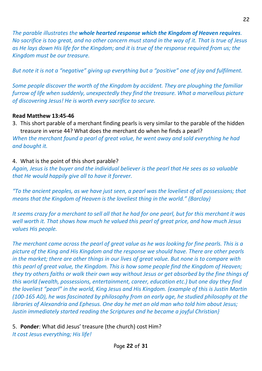*The parable illustrates the whole hearted response which the Kingdom of Heaven requires. No sacrifice is too great, and no other concern must stand in the way of it. That is true of Jesus as He lays down His life for the Kingdom; and it is true of the response required from us; the Kingdom must be our treasure.*

*But note it is not a "negative" giving up everything but a "positive" one of joy and fulfilment.*

*Some people discover the worth of the Kingdom by accident. They are ploughing the familiar furrow of life when suddenly, unexpectedly they find the treasure. What a marvellous picture of discovering Jesus! He is worth every sacrifice to secure.*

#### **Read Matthew 13:45-46**

3. This short parable of a merchant finding pearls is very similar to the parable of the hidden treasure in verse 44? What does the merchant do when he finds a pearl?

*When the merchant found a pearl of great value, he went away and sold everything he had and bought it.*

#### 4. What is the point of this short parable?

*Again, Jesus is the buyer and the individual believer is the pearl that He sees as so valuable that He would happily give all to have it forever.*

*"To the ancient peoples, as we have just seen, a pearl was the loveliest of all possessions; that means that the Kingdom of Heaven is the loveliest thing in the world." (Barclay)*

*It seems crazy for a merchant to sell all that he had for one pearl, but for this merchant it was well worth it. That shows how much he valued this pearl of great price, and how much Jesus values His people.*

*The merchant came across the pearl of great value as he was looking for fine pearls. This is a picture of the King and His Kingdom and the response we should have. There are other pearls in the market; there are other things in our lives of great value. But none is to compare with this pearl of great value, the Kingdom. This is how some people find the Kingdom of Heaven; they try others faiths or walk their own way without Jesus or get absorbed by the fine things of this world (wealth, possessions, entertainment, career, education etc.) but one day they find the loveliest "pearl" in the world, King Jesus and His Kingdom. {example of this is Justin Martin (100-165 AD), he was fascinated by philosophy from an early age, he studied philosophy at the libraries of Alexandria and Ephesus. One day he met an old man who told him about Jesus; Justin immediately started reading the Scriptures and he became a joyful Christian}*

5. **Ponder**: What did Jesus' treasure (the church) cost Him? *It cost Jesus everything; His life!*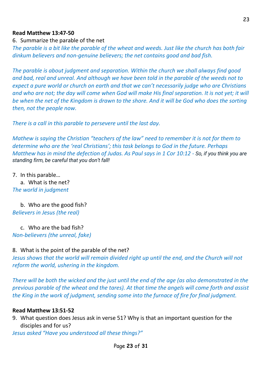#### **Read Matthew 13:47-50**

6. Summarize the parable of the net

*The parable is a bit like the parable of the wheat and weeds. Just like the church has both fair dinkum believers and non-genuine believers; the net contains good and bad fish.*

*The parable is about judgment and separation. Within the church we shall always find good and bad, real and unreal. And although we have been told in the parable of the weeds not to expect a pure world or church on earth and that we can't necessarily judge who are Christians*  and who are not; the day will come when God will make His final separation. It is not yet; it will *be when the net of the Kingdom is drawn to the shore. And it will be God who does the sorting then, not the people now.*

*There is a call in this parable to persevere until the last day.*

*Mathew is saying the Christian "teachers of the law" need to remember it is not for them to determine who are the 'real Christians'; this task belongs to God in the future. Perhaps Matthew has in mind the defection of Judas. As Paul says in 1 Cor 10:12 - So, if you think you are standing firm, be careful that you don't fall!*

7. In this parable…

a. What is the net? *The world in judgment*

b. Who are the good fish? *Believers in Jesus (the real)*

c. Who are the bad fish? *Non-believers (the unreal, fake)*

#### 8. What is the point of the parable of the net?

*Jesus shows that the world will remain divided right up until the end, and the Church will not reform the world, ushering in the kingdom.*

*There will be both the wicked and the just until the end of the age (as also demonstrated in the previous parable of the wheat and the tares). At that time the angels will come forth and assist the King in the work of judgment, sending some into the furnace of fire for final judgment.*

#### **Read Matthew 13:51-52**

9. What question does Jesus ask in verse 51? Why is that an important question for the disciples and for us?

*Jesus asked "Have you understood all these things?"*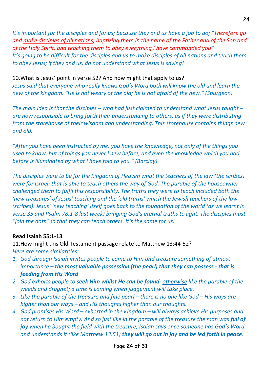*It's important for the disciples and for us; because they and us have a job to do; "Therefore go and make disciples of all nations, baptizing them in the name of the Father and of the Son and of the Holy Spirit, and teaching them to obey everything I have commanded you" It's going to be difficult for the disciples and us to make disciples of all nations and teach them to obey Jesus; if they and us, do not understand what Jesus is saying!*

10.What is Jesus' point in verse 52? And how might that apply to us? *Jesus said that everyone who really knows God's Word both will know the old and learn the new of the kingdom. "He is not weary of the old; he is not afraid of the new." (Spurgeon)*

*The main idea is that the disciples – who had just claimed to understand what Jesus taught – are now responsible to bring forth their understanding to others, as if they were distributing from the storehouse of their wisdom and understanding. This storehouse contains things new and old.*

*"After you have been instructed by me, you have the knowledge, not only of the things you used to know, but of things you never knew before, and even the knowledge which you had before is illuminated by what I have told to you." (Barclay)*

*The disciples were to be for the Kingdom of Heaven what the teachers of the law (the scribes) were for Israel; that is able to teach others the way of God. The parable of the houseowner challenged them to fulfil this responsibility. The truths they were to teach included both the 'new treasures' of Jesus' teaching and the 'old truths' which the Jewish teachers of the law (scribes). Jesus' 'new teaching' itself goes back to the foundation of the world (as we learnt in verse 35 and Psalm 78:1-8 last week) bringing God's eternal truths to light. The disciples must "join the dots" so that they can teach others. It's the same for us.*

#### **Read Isaiah 55:1-13**

11.How might this Old Testament passage relate to Matthew 13:44-52? *Here are some similarities:*

- *1. God through Isaiah invites people to come to Him and treasure something of utmost importance – the most valuable possession (the pearl) that they can possess - that is feeding from His Word*
- *2. God exhorts people to seek Him whilst He can be found; otherwise like the parable of the weeds and dragnet; a time is coming when judgement will take place.*
- *3. Like the parable of the treasure and fine pearl there is no one like God His ways are higher than our ways – and His thoughts higher than our thoughts.*
- *4. God promises His Word – exhorted in the Kingdom – will always achieve His purposes and not return to Him empty. And so just like in the parable of the treasure the man was full of joy when he bought the field with the treasure; Isaiah says once someone has God's Word and understands it (like Matthew 13:51) they will go out in joy and be led forth in peace.*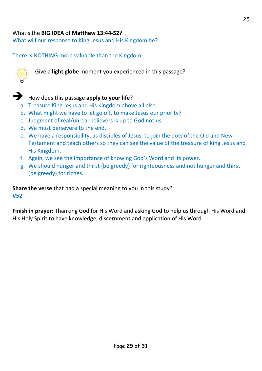#### What's the **BIG IDEA** of **Matthew 13:44-52?**

What will our response to King Jesus and His Kingdom be?

There is NOTHING more valuable than the Kingdom



Give a **light globe** moment you experienced in this passage?



➔ How does this passage **apply to your life**?

- a. Treasure King Jesus and His Kingdom above all else.
- b. What might we have to let go off, to make Jesus our priority?
- c. Judgment of real/unreal believers is up to God not us.
- d. We must persevere to the end.
- e. We have a responsibility, as disciples of Jesus, to join the dots of the Old and New Testament and teach others so they can see the value of the treasure of King Jesus and His Kingdom.
- f. Again, we see the importance of knowing God's Word and its power.
- g. We should hunger and thirst (be greedy) for righteousness and not hunger and thirst (be greedy) for riches.

**Share the verse** that had a special meaning to you in this study? **V52**

**Finish in prayer:** Thanking God for His Word and asking God to help us through His Word and His Holy Spirit to have knowledge, discernment and application of His Word.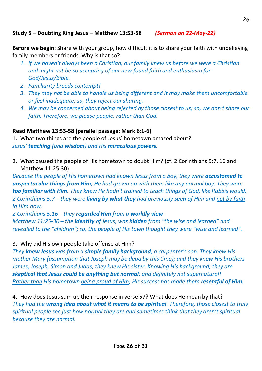#### **Study 5 – Doubting King Jesus – Matthew 13:53-58** *(Sermon on 22-May-22)*

**Before we begin**: Share with your group, how difficult it is to share your faith with unbelieving family members or friends. Why is that so?

- *1. If we haven't always been a Christian; our family knew us before we were a Christian and might not be so accepting of our new found faith and enthusiasm for God/Jesus/Bible.*
- *2. Familiarity breeds contempt!*
- *3. They may not be able to handle us being different and it may make them uncomfortable or feel inadequate; so, they reject our sharing.*
- *4. We may be concerned about being rejected by those closest to us; so, we don't share our faith. Therefore, we please people, rather than God.*

#### **Read Matthew 13:53-58 (parallel passage: Mark 6:1-6)**

1. What two things are the people of Jesus' hometown amazed about? *Jesus' teaching (and wisdom) and His miraculous powers.*

2. What caused the people of His hometown to doubt Him? (cf. 2 Corinthians 5:7, 16 and Matthew 11:25-30)

*Because the people of His hometown had known Jesus from a boy, they were accustomed to unspectacular things from Him; He had grown up with them like any normal boy. They were too familiar with Him. They knew He hadn't trained to teach things of God, like Rabbis would. 2 Corinthians 5:7 – they were living by what they had previously seen of Him and not by faith in Him now.*

*2 Corinthians 5:16 – they regarded Him from a worldly view Matthew 11:25-30 – the identity of Jesus, was hidden from "the wise and learned" and revealed to the "children"; so, the people of His town thought they were "wise and learned".*

3. Why did His own people take offense at Him?

*They knew Jesus was from a simple family background; a carpenter's son. They knew His mother Mary (assumption that Joseph may be dead by this time); and they knew His brothers James, Joseph, Simon and Judas; they knew His sister. Knowing His background; they are skeptical that Jesus could be anything but normal; and definitely not supernatural! Rather than His hometown being proud of Him; His success has made them resentful of Him.*

4. How does Jesus sum up their response in verse 57? What does He mean by that? *They had the wrong idea about what it means to be spiritual. Therefore, those closest to truly spiritual people see just how normal they are and sometimes think that they aren't spiritual because they are normal.*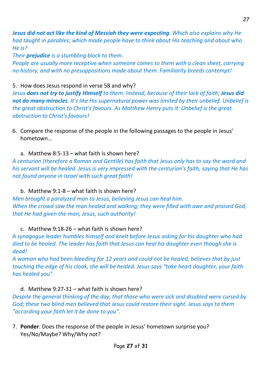*Jesus did not act like the kind of Messiah they were expecting. Which also explains why He had taught in parables; which made people have to think about His teaching and about who He is?*

*Their prejudice is a stumbling block to them.* 

*People are usually more receptive when someone comes to them with a clean sheet, carrying no history, and with no presuppositions made about them. Familiarity breeds contempt!*

#### 5. How does Jesus respond in verse 58 and why?

*Jesus does not try to justify Himself to them. Instead, because of their lack of faith; Jesus did not do many miracles. It's like His supernatural power was limited by their unbelief. Unbelief is the great obstruction to Christ's favours. As Matthew Henry puts it: Unbelief is the great obstruction to Christ's favours!*

6. Compare the response of the people in the following passages to the people in Jesus' hometown…

#### a. Matthew 8:5-13 – what faith is shown here?

*A centurion (therefore a Roman and Gentile) has faith that Jesus only has to say the word and his servant will be healed. Jesus is very impressed with the centurion's faith, saying that He has not found anyone in Israel with such great faith!*

#### b. Matthew 9:1-8 – what faith is shown here?

*Men brought a paralyzed man to Jesus, believing Jesus can heal him. When the crowd saw the man healed and walking; they were filled with awe and praised God, that He had given the man, Jesus, such authority!*

#### c. Matthew 9:18-26 – what faith is shown here?

*A synagogue leader humbles himself and knelt before Jesus asking for his daughter who had died to be healed. The leader has faith that Jesus can heal his daughter even though she is dead!*

*A woman who had been bleeding for 12 years and could not be healed; believes that by just touching the edge of his cloak, she will be healed. Jesus says "take heart daughter, your faith has healed you"*

#### d. Matthew 9:27-31 – what faith is shown here?

*Despite the general thinking of the day, that those who were sick and disabled were cursed by God; these two blind men believed that Jesus could restore their sight. Jesus says to them "according your faith let it be done to you".*

7. **Ponder**: Does the response of the people in Jesus' hometown surprise you? Yes/No/Maybe? Why/Why not?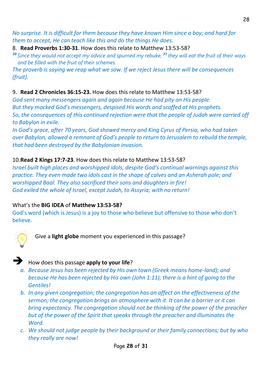*No surprise. It is difficult for them because they have known Him since a boy; and hard for them to accept, He can teach like this and do the things He does.*

8. **Read Proverbs 1:30-31**. How does this relate to Matthew 13:53-58?

*<sup>30</sup> Since they would not accept my advice and spurned my rebuke, <sup>31</sup> they will eat the fruit of their ways and be filled with the fruit of their schemes.*

*The proverb is saying we reap what we sow. If we reject Jesus there will be consequences (fruit).* 

#### 9. **Read 2 Chronicles 36:15-23.** How does this relate to Matthew 13:53-58?

*God sent many messengers again and again because He had pity on His people. But they mocked God's messengers, despised His words and scoffed at His prophets. So, the consequences of this continued rejection were that the people of Judah were carried off to Babylon in exile.*

*In God's grace, after 70 years, God showed mercy and King Cyrus of Persia, who had taken over Babylon, allowed a remnant of God's people to return to Jerusalem to rebuild the temple, that had been destroyed by the Babylonian invasion.*

#### 10.**Read 2 Kings 17:7-23**. How does this relate to Matthew 13:53-58?

*Israel built high places and worshipped idols, despite God's continual warnings against this practice. They even made two idols cast in the shape of calves and an Asherah pole; and worshipped Baal. They also sacrificed their sons and daughters in fire! God exiled the whole of Israel, except Judah, to Assyria; with no return!*

#### What's the **BIG IDEA** of **Matthew 13:53-58?**

God's word (which is Jesus) is a joy to those who believe but offensive to those who don't believe.



Give a **light globe** moment you experienced in this passage?



#### ➔ How does this passage **apply to your life**?

- *a. Because Jesus has been rejected by His own town (Greek means home-land); and because He has been rejected by His own (John 1:11); there is a hint of going to the Gentiles!*
- *b. In any given congregation; the congregation has an affect on the effectiveness of the sermon; the congregation brings an atmosphere with it. It can be a barrier or it can bring expectancy. The congregation should not be thinking of the power of the preacher but of the power of the Spirit that speaks through the preacher and illuminates the Word.*
- *c. We should not judge people by their background or their family connections; but by who they really are now!*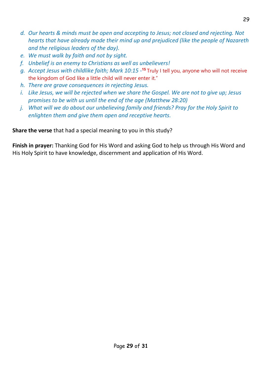- *d. Our hearts & minds must be open and accepting to Jesus; not closed and rejecting. Not hearts that have already made their mind up and prejudiced (like the people of Nazareth and the religious leaders of the day).*
- *e. We must walk by faith and not by sight.*
- *f. Unbelief is an enemy to Christians as well as unbelievers!*
- *g. Accept Jesus with childlike faith; Mark 10:15 -* **<sup>15</sup>** Truly I tell you, anyone who will not receive the kingdom of God like a little child will never enter it."
- *h. There are grave consequences in rejecting Jesus.*
- *i. Like Jesus, we will be rejected when we share the Gospel. We are not to give up; Jesus promises to be with us until the end of the age (Matthew 28:20)*
- *j. What will we do about our unbelieving family and friends? Pray for the Holy Spirit to enlighten them and give them open and receptive hearts.*

**Share the verse** that had a special meaning to you in this study?

**Finish in prayer:** Thanking God for His Word and asking God to help us through His Word and His Holy Spirit to have knowledge, discernment and application of His Word.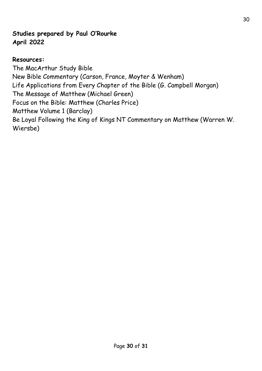#### **Studies prepared by Paul O'Rourke April 2022**

#### **Resources:**

The MacArthur Study Bible New Bible Commentary (Carson, France, Moyter & Wenham) Life Applications from Every Chapter of the Bible (G. Campbell Morgan) The Message of Matthew (Michael Green) Focus on the Bible: Matthew (Charles Price) Matthew Volume 1 (Barclay) Be Loyal Following the King of Kings NT Commentary on Matthew (Warren W. Wiersbe)